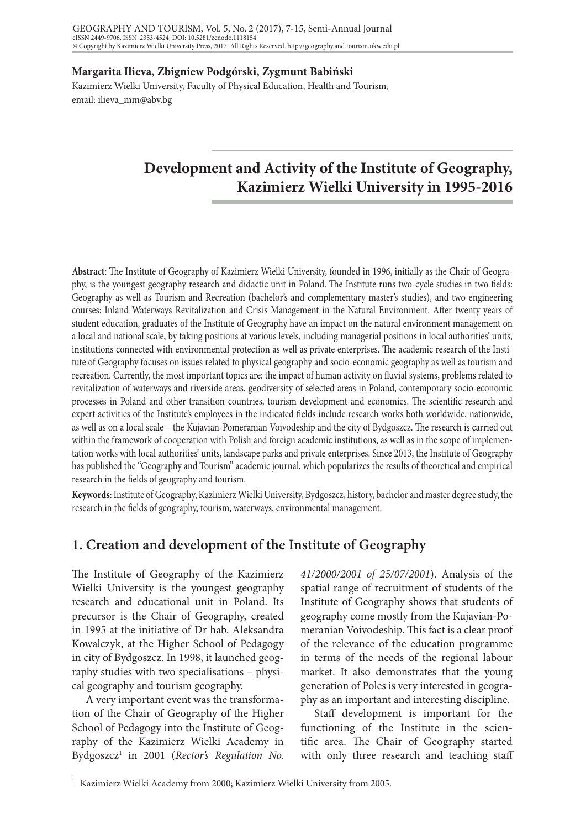**Margarita Ilieva, Zbigniew Podgórski, Zygmunt Babiński** 

Kazimierz Wielki University, Faculty of Physical Education, Health and Tourism, email: ilieva\_mm@abv.bg

# **Development and Activity of the Institute of Geography, Kazimierz Wielki University in 1995-2016**

**Abstract**: The Institute of Geography of Kazimierz Wielki University, founded in 1996, initially as the Chair of Geography, is the youngest geography research and didactic unit in Poland. The Institute runs two-cycle studies in two fields: Geography as well as Tourism and Recreation (bachelor's and complementary master's studies), and two engineering courses: Inland Waterways Revitalization and Crisis Management in the Natural Environment. After twenty years of student education, graduates of the Institute of Geography have an impact on the natural environment management on a local and national scale, by taking positions at various levels, including managerial positions in local authorities' units, institutions connected with environmental protection as well as private enterprises. The academic research of the Institute of Geography focuses on issues related to physical geography and socio-economic geography as well as tourism and recreation. Currently, the most important topics are: the impact of human activity on fluvial systems, problems related to revitalization of waterways and riverside areas, geodiversity of selected areas in Poland, contemporary socio-economic processes in Poland and other transition countries, tourism development and economics. The scientific research and expert activities of the Institute's employees in the indicated fields include research works both worldwide, nationwide, as well as on a local scale – the Kujavian-Pomeranian Voivodeship and the city of Bydgoszcz. The research is carried out within the framework of cooperation with Polish and foreign academic institutions, as well as in the scope of implementation works with local authorities' units, landscape parks and private enterprises. Since 2013, the Institute of Geography has published the "Geography and Tourism" academic journal, which popularizes the results of theoretical and empirical research in the fields of geography and tourism.

**Keywords**: Institute of Geography, Kazimierz Wielki University, Bydgoszcz, history, bachelor and master degree study, the research in the fields of geography, tourism, waterways, environmental management.

# **1. Creation and development of the Institute of Geography**

The Institute of Geography of the Kazimierz Wielki University is the youngest geography research and educational unit in Poland. Its precursor is the Chair of Geography, created in 1995 at the initiative of Dr hab. Aleksandra Kowalczyk, at the Higher School of Pedagogy in city of Bydgoszcz. In 1998, it launched geography studies with two specialisations – physical geography and tourism geography.

A very important event was the transformation of the Chair of Geography of the Higher School of Pedagogy into the Institute of Geography of the Kazimierz Wielki Academy in Bydgoszcz1 in 2001 (*Rector's Regulation No.*  *41/2000/2001 of 25/07/2001*). Analysis of the spatial range of recruitment of students of the Institute of Geography shows that students of geography come mostly from the Kujavian-Pomeranian Voivodeship. This fact is a clear proof of the relevance of the education programme in terms of the needs of the regional labour market. It also demonstrates that the young generation of Poles is very interested in geography as an important and interesting discipline.

Staff development is important for the functioning of the Institute in the scientific area. The Chair of Geography started with only three research and teaching staff

<sup>&</sup>lt;sup>1</sup> Kazimierz Wielki Academy from 2000; Kazimierz Wielki University from 2005.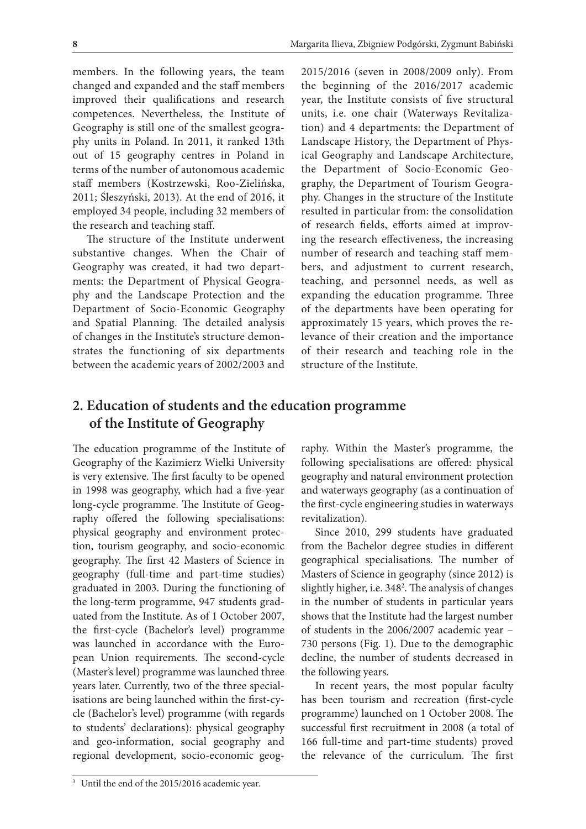members. In the following years, the team changed and expanded and the staff members improved their qualifications and research competences. Nevertheless, the Institute of Geography is still one of the smallest geography units in Poland. In 2011, it ranked 13th out of 15 geography centres in Poland in terms of the number of autonomous academic staff members (Kostrzewski, Roo-Zielińska, 2011; Śleszyński, 2013). At the end of 2016, it employed 34 people, including 32 members of the research and teaching staff.

The structure of the Institute underwent substantive changes. When the Chair of Geography was created, it had two departments: the Department of Physical Geography and the Landscape Protection and the Department of Socio-Economic Geography and Spatial Planning. The detailed analysis of changes in the Institute's structure demonstrates the functioning of six departments between the academic years of 2002/2003 and

2015/2016 (seven in 2008/2009 only). From the beginning of the 2016/2017 academic year, the Institute consists of five structural units, i.e. one chair (Waterways Revitalization) and 4 departments: the Department of Landscape History, the Department of Physical Geography and Landscape Architecture, the Department of Socio-Economic Geography, the Department of Tourism Geography. Changes in the structure of the Institute resulted in particular from: the consolidation of research fields, efforts aimed at improving the research effectiveness, the increasing number of research and teaching staff members, and adjustment to current research, teaching, and personnel needs, as well as expanding the education programme. Three of the departments have been operating for approximately 15 years, which proves the relevance of their creation and the importance of their research and teaching role in the structure of the Institute.

# **2. Education of students and the education programme of the Institute of Geography**

The education programme of the Institute of Geography of the Kazimierz Wielki University is very extensive. The first faculty to be opened in 1998 was geography, which had a five-year long-cycle programme. The Institute of Geography offered the following specialisations: physical geography and environment protection, tourism geography, and socio-economic geography. The first 42 Masters of Science in geography (full-time and part-time studies) graduated in 2003. During the functioning of the long-term programme, 947 students graduated from the Institute. As of 1 October 2007, the first-cycle (Bachelor's level) programme was launched in accordance with the European Union requirements. The second-cycle (Master's level) programme was launched three years later. Currently, two of the three specialisations are being launched within the first-cycle (Bachelor's level) programme (with regards to students' declarations): physical geography and geo-information, social geography and regional development, socio-economic geog-

raphy. Within the Master's programme, the following specialisations are offered: physical geography and natural environment protection and waterways geography (as a continuation of the first-cycle engineering studies in waterways revitalization).

Since 2010, 299 students have graduated from the Bachelor degree studies in different geographical specialisations. The number of Masters of Science in geography (since 2012) is slightly higher, i.e. 348<sup>2</sup>. The analysis of changes in the number of students in particular years shows that the Institute had the largest number of students in the 2006/2007 academic year – 730 persons (Fig. 1). Due to the demographic decline, the number of students decreased in the following years.

In recent years, the most popular faculty has been tourism and recreation (first-cycle programme) launched on 1 October 2008. The successful first recruitment in 2008 (a total of 166 full-time and part-time students) proved the relevance of the curriculum. The first

<sup>&</sup>lt;sup>3</sup> Until the end of the 2015/2016 academic year.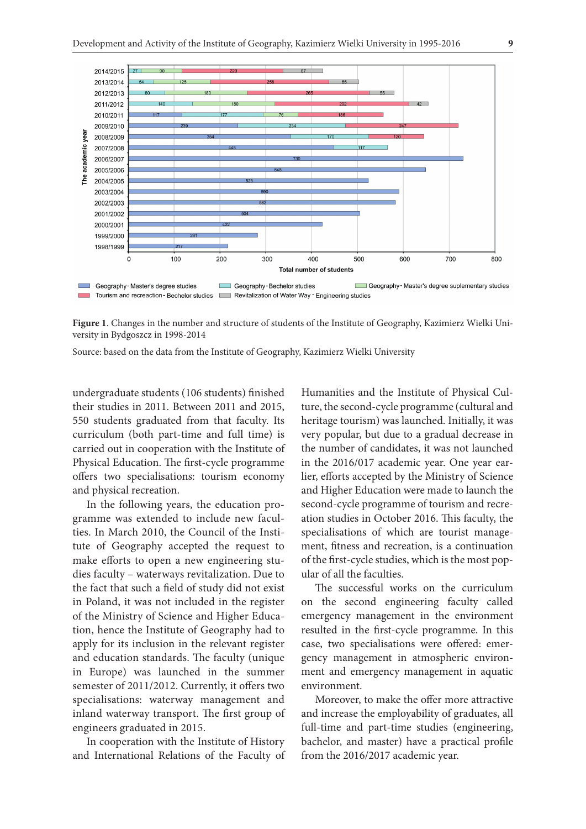

**Figure 1**. Changes in the number and structure of students of the Institute of Geography, Kazimierz Wielki University in Bydgoszcz in 1998-2014

Source: based on the data from the Institute of Geography, Kazimierz Wielki University

undergraduate students (106 students) finished their studies in 2011. Between 2011 and 2015, 550 students graduated from that faculty. Its curriculum (both part-time and full time) is carried out in cooperation with the Institute of Physical Education. The first-cycle programme offers two specialisations: tourism economy and physical recreation.

In the following years, the education programme was extended to include new faculties. In March 2010, the Council of the Institute of Geography accepted the request to make efforts to open a new engineering studies faculty – waterways revitalization. Due to the fact that such a field of study did not exist in Poland, it was not included in the register of the Ministry of Science and Higher Education, hence the Institute of Geography had to apply for its inclusion in the relevant register and education standards. The faculty (unique in Europe) was launched in the summer semester of 2011/2012. Currently, it offers two specialisations: waterway management and inland waterway transport. The first group of engineers graduated in 2015.

In cooperation with the Institute of History and International Relations of the Faculty of Humanities and the Institute of Physical Culture, the second-cycle programme (cultural and heritage tourism) was launched. Initially, it was very popular, but due to a gradual decrease in the number of candidates, it was not launched in the 2016/017 academic year. One year earlier, efforts accepted by the Ministry of Science and Higher Education were made to launch the second-cycle programme of tourism and recreation studies in October 2016. This faculty, the specialisations of which are tourist management, fitness and recreation, is a continuation of the first-cycle studies, which is the most popular of all the faculties.

The successful works on the curriculum on the second engineering faculty called emergency management in the environment resulted in the first-cycle programme. In this case, two specialisations were offered: emergency management in atmospheric environment and emergency management in aquatic environment.

Moreover, to make the offer more attractive and increase the employability of graduates, all full-time and part-time studies (engineering, bachelor, and master) have a practical profile from the 2016/2017 academic year.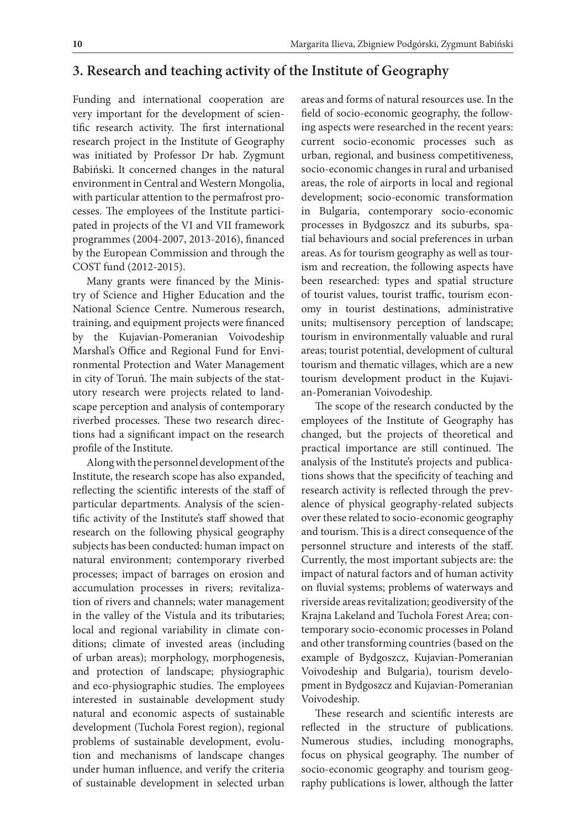### **3. Research and teaching activity of the Institute of Geography**

Funding and international cooperation are very important for the development of scientific research activity. The first international research project in the Institute of Geography was initiated by Professor Dr hab. Zygmunt Babiński. It concerned changes in the natural environment in Central and Western Mongolia, with particular attention to the permafrost processes. The employees of the Institute participated in projects of the VI and VII framework programmes (2004-2007, 2013-2016), financed by the European Commission and through the COST fund (2012-2015).

Many grants were financed by the Ministry of Science and Higher Education and the National Science Centre. Numerous research, training, and equipment projects were financed by the Kujavian-Pomeranian Voivodeship Marshal's Office and Regional Fund for Environmental Protection and Water Management in city of Toruń. The main subjects of the statutory research were projects related to landscape perception and analysis of contemporary riverbed processes. These two research directions had a significant impact on the research profile of the Institute.

Along with the personnel development of the Institute, the research scope has also expanded, reflecting the scientific interests of the staff of particular departments. Analysis of the scientific activity of the Institute's staff showed that research on the following physical geography subjects has been conducted: human impact on natural environment; contemporary riverbed processes; impact of barrages on erosion and accumulation processes in rivers; revitalization of rivers and channels; water management in the valley of the Vistula and its tributaries; local and regional variability in climate conditions; climate of invested areas (including of urban areas); morphology, morphogenesis, and protection of landscape; physiographic and eco-physiographic studies. The employees interested in sustainable development study natural and economic aspects of sustainable development (Tuchola Forest region), regional problems of sustainable development, evolution and mechanisms of landscape changes under human influence, and verify the criteria of sustainable development in selected urban

areas and forms of natural resources use. In the field of socio-economic geography, the following aspects were researched in the recent years: current socio-economic processes such as urban, regional, and business competitiveness, socio-economic changes in rural and urbanised areas, the role of airports in local and regional development; socio-economic transformation in Bulgaria, contemporary socio-economic processes in Bydgoszcz and its suburbs, spatial behaviours and social preferences in urban areas. As for tourism geography as well as tourism and recreation, the following aspects have been researched: types and spatial structure of tourist values, tourist traffic, tourism economy in tourist destinations, administrative units; multisensory perception of landscape; tourism in environmentally valuable and rural areas; tourist potential, development of cultural tourism and thematic villages, which are a new tourism development product in the Kujavian-Pomeranian Voivodeship.

The scope of the research conducted by the employees of the Institute of Geography has changed, but the projects of theoretical and practical importance are still continued. The analysis of the Institute's projects and publications shows that the specificity of teaching and research activity is reflected through the prevalence of physical geography-related subjects over these related to socio-economic geography and tourism. This is a direct consequence of the personnel structure and interests of the staff. Currently, the most important subjects are: the impact of natural factors and of human activity on fluvial systems; problems of waterways and riverside areas revitalization; geodiversity of the Krajna Lakeland and Tuchola Forest Area; contemporary socio-economic processes in Poland and other transforming countries (based on the example of Bydgoszcz, Kujavian-Pomeranian Voivodeship and Bulgaria), tourism development in Bydgoszcz and Kujavian-Pomeranian Voivodeship.

These research and scientific interests are reflected in the structure of publications. Numerous studies, including monographs, focus on physical geography. The number of socio-economic geography and tourism geography publications is lower, although the latter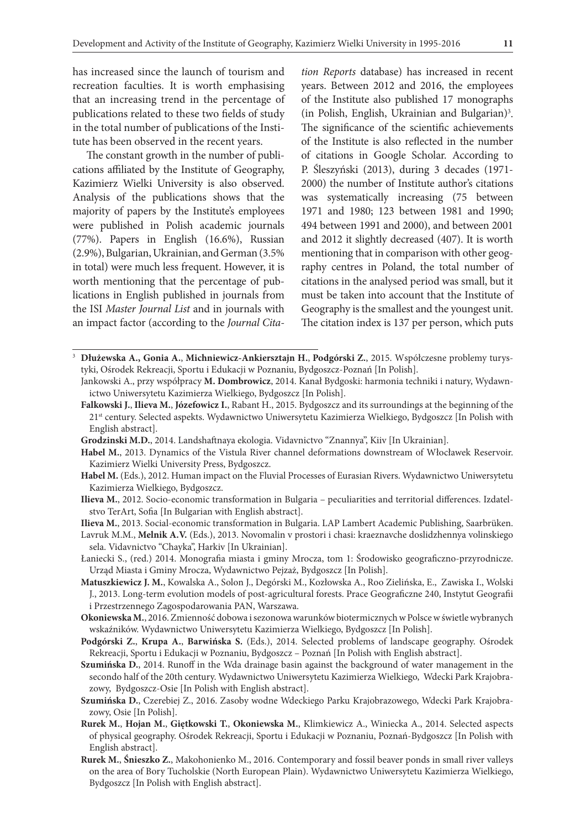has increased since the launch of tourism and recreation faculties. It is worth emphasising that an increasing trend in the percentage of publications related to these two fields of study in the total number of publications of the Institute has been observed in the recent years.

The constant growth in the number of publications affiliated by the Institute of Geography, Kazimierz Wielki University is also observed. Analysis of the publications shows that the majority of papers by the Institute's employees were published in Polish academic journals (77%). Papers in English (16.6%), Russian (2.9%), Bulgarian, Ukrainian, and German (3.5% in total) were much less frequent. However, it is worth mentioning that the percentage of publications in English published in journals from the ISI *Master Journal List* and in journals with an impact factor (according to the *Journal Cita-*

*tion Reports* database) has increased in recent years. Between 2012 and 2016, the employees of the Institute also published 17 monographs (in Polish, English, Ukrainian and Bulgarian)3 . The significance of the scientific achievements of the Institute is also reflected in the number of citations in Google Scholar. According to P. Śleszyński (2013), during 3 decades (1971- 2000) the number of Institute author's citations was systematically increasing (75 between 1971 and 1980; 123 between 1981 and 1990; 494 between 1991 and 2000), and between 2001 and 2012 it slightly decreased (407). It is worth mentioning that in comparison with other geography centres in Poland, the total number of citations in the analysed period was small, but it must be taken into account that the Institute of Geography is the smallest and the youngest unit. The citation index is 137 per person, which puts

- <sup>3</sup> **Dłużewska A., Gonia A.**, **Michniewicz-Ankiersztajn H.**, **Podgórski Z.**, 2015. Współczesne problemy turystyki, Ośrodek Rekreacji, Sportu i Edukacji w Poznaniu, Bydgoszcz-Poznań [In Polish].
	- Jankowski A., przy współpracy **M. Dombrowicz**, 2014. Kanał Bydgoski: harmonia techniki i natury, Wydawnictwo Uniwersytetu Kazimierza Wielkiego, Bydgoszcz [In Polish].
	- **Falkowski J.**, **Ilieva M.**, **Józefowicz I.**, Rabant H., 2015. Bydgoszcz and its surroundings at the beginning of the 21st century. Selected aspekts. Wydawnictwo Uniwersytetu Kazimierza Wielkiego, Bydgoszcz [In Polish with English abstract].
	- **Grodzinski M.D.**, 2014. Landshaftnaya ekologia. Vidavnictvo "Znannya", Kiiv [In Ukrainian].
	- **Habel M.**, 2013. Dynamics of the Vistula River channel deformations downstream of Włocławek Reservoir. Kazimierz Wielki University Press, Bydgoszcz.
	- **Habel M.** (Eds.), 2012. Human impact on the Fluvial Processes of Eurasian Rivers. Wydawnictwo Uniwersytetu Kazimierza Wielkiego, Bydgoszcz.
	- **Ilieva M.**, 2012. Socio-economic transformation in Bulgaria peculiarities and territorial differences. Izdatelstvo TerArt, Sofia [In Bulgarian with English abstract].

**Ilieva M.**, 2013. Social-economic transformation in Bulgaria. LAP Lambert Academic Publishing, Saarbrüken.

Lavruk M.M., **Melnik A.V.** (Eds.), 2013. Novomalin v prostori i chasi: kraeznavche doslidzhennya volinskiego sela. Vidavnictvo "Chayka", Harkiv [In Ukrainian].

- Łaniecki S., (red.) 2014. Monografia miasta i gminy Mrocza, tom 1: Środowisko geograficzno-przyrodnicze. Urząd Miasta i Gminy Mrocza, Wydawnictwo Pejzaż, Bydgoszcz [In Polish].
- **Matuszkiewicz J. M.**, Kowalska A., Solon J., Degórski M., Kozłowska A., Roo Zielińska, E., Zawiska I., Wolski J., 2013. Long-term evolution models of post-agricultural forests. Prace Geograficzne 240, Instytut Geografii i Przestrzennego Zagospodarowania PAN, Warszawa.
- **Okoniewska M.**, 2016. Zmienność dobowa i sezonowa warunków biotermicznych w Polsce w świetle wybranych wskaźników. Wydawnictwo Uniwersytetu Kazimierza Wielkiego, Bydgoszcz [In Polish].
- **Podgórski Z.**, **Krupa A.**, **Barwińska S.** (Eds.), 2014. Selected problems of landscape geography. Ośrodek Rekreacji, Sportu i Edukacji w Poznaniu, Bydgoszcz – Poznań [In Polish with English abstract].
- **Szumińska D.**, 2014. Runoff in the Wda drainage basin against the background of water management in the secondo half of the 20th century. Wydawnictwo Uniwersytetu Kazimierza Wielkiego, Wdecki Park Krajobrazowy, Bydgoszcz-Osie [In Polish with English abstract].
- **Szumińska D.**, Czerebiej Z., 2016. Zasoby wodne Wdeckiego Parku Krajobrazowego, Wdecki Park Krajobrazowy, Osie [In Polish].
- **Rurek M.**, **Hojan M.**, **Giętkowski T.**, **Okoniewska M.**, Klimkiewicz A., Winiecka A., 2014. Selected aspects of physical geography. Ośrodek Rekreacji, Sportu i Edukacji w Poznaniu, Poznań-Bydgoszcz [In Polish with English abstract].
- **Rurek M.**, **Śnieszko Z.**, Makohonienko M., 2016. Contemporary and fossil beaver ponds in small river valleys on the area of Bory Tucholskie (North European Plain). Wydawnictwo Uniwersytetu Kazimierza Wielkiego, Bydgoszcz [In Polish with English abstract].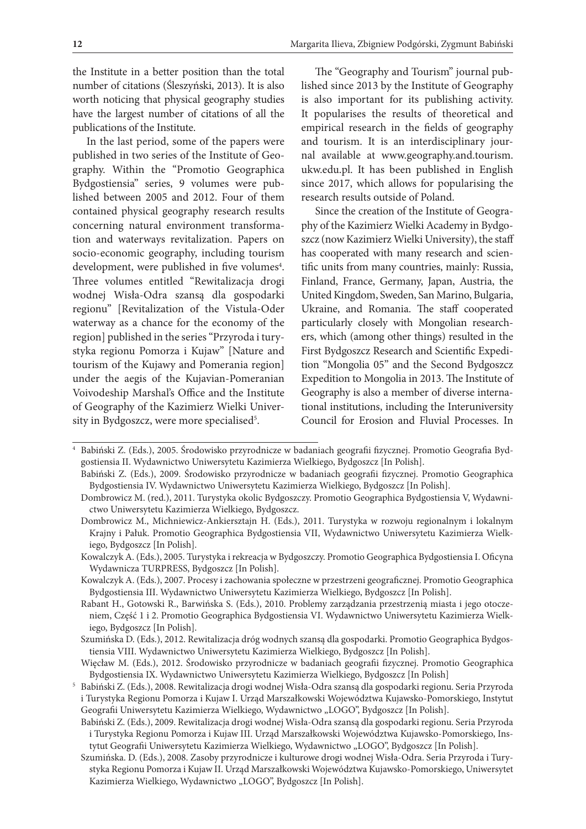the Institute in a better position than the total number of citations (Śleszyński, 2013). It is also worth noticing that physical geography studies have the largest number of citations of all the publications of the Institute.

In the last period, some of the papers were published in two series of the Institute of Geography. Within the "Promotio Geographica Bydgostiensia" series, 9 volumes were published between 2005 and 2012. Four of them contained physical geography research results concerning natural environment transformation and waterways revitalization. Papers on socio-economic geography, including tourism development, were published in five volumes<sup>4</sup>. Three volumes entitled "Rewitalizacja drogi wodnej Wisła-Odra szansą dla gospodarki regionu" [Revitalization of the Vistula-Oder waterway as a chance for the economy of the region] published in the series "Przyroda i turystyka regionu Pomorza i Kujaw" [Nature and tourism of the Kujawy and Pomerania region] under the aegis of the Kujavian-Pomeranian Voivodeship Marshal's Office and the Institute of Geography of the Kazimierz Wielki University in Bydgoszcz, were more specialised<sup>5</sup>.

The "Geography and Tourism" journal published since 2013 by the Institute of Geography is also important for its publishing activity. It popularises the results of theoretical and empirical research in the fields of geography and tourism. It is an interdisciplinary journal available at www.geography.and.tourism. ukw.edu.pl. It has been published in English since 2017, which allows for popularising the research results outside of Poland.

Since the creation of the Institute of Geography of the Kazimierz Wielki Academy in Bydgoszcz (now Kazimierz Wielki University), the staff has cooperated with many research and scientific units from many countries, mainly: Russia, Finland, France, Germany, Japan, Austria, the United Kingdom, Sweden, San Marino, Bulgaria, Ukraine, and Romania. The staff cooperated particularly closely with Mongolian researchers, which (among other things) resulted in the First Bydgoszcz Research and Scientific Expedition "Mongolia 05" and the Second Bydgoszcz Expedition to Mongolia in 2013. The Institute of Geography is also a member of diverse international institutions, including the Interuniversity Council for Erosion and Fluvial Processes. In

- Kowalczyk A. (Eds.), 2007. Procesy i zachowania społeczne w przestrzeni geograficznej. Promotio Geographica Bydgostiensia III. Wydawnictwo Uniwersytetu Kazimierza Wielkiego, Bydgoszcz [In Polish].
- Rabant H., Gotowski R., Barwińska S. (Eds.), 2010. Problemy zarządzania przestrzenią miasta i jego otoczeniem, Część 1 i 2. Promotio Geographica Bydgostiensia VI. Wydawnictwo Uniwersytetu Kazimierza Wielkiego, Bydgoszcz [In Polish].
- Szumińska D. (Eds.), 2012. Rewitalizacja dróg wodnych szansą dla gospodarki. Promotio Geographica Bydgostiensia VIII. Wydawnictwo Uniwersytetu Kazimierza Wielkiego, Bydgoszcz [In Polish].
- Więcław M. (Eds.), 2012. Środowisko przyrodnicze w badaniach geografii fizycznej. Promotio Geographica Bydgostiensia IX. Wydawnictwo Uniwersytetu Kazimierza Wielkiego, Bydgoszcz [In Polish]
- <sup>5</sup> Babiński Z. (Eds.), 2008. Rewitalizacja drogi wodnej Wisła-Odra szansą dla gospodarki regionu. Seria Przyroda i Turystyka Regionu Pomorza i Kujaw I. Urząd Marszałkowski Województwa Kujawsko-Pomorskiego, Instytut Geografii Uniwersytetu Kazimierza Wielkiego, Wydawnictwo "LOGO", Bydgoszcz [In Polish].
- Babiński Z. (Eds.), 2009. Rewitalizacja drogi wodnej Wisła-Odra szansą dla gospodarki regionu. Seria Przyroda i Turystyka Regionu Pomorza i Kujaw III. Urząd Marszałkowski Województwa Kujawsko-Pomorskiego, Instytut Geografii Uniwersytetu Kazimierza Wielkiego, Wydawnictwo "LOGO", Bydgoszcz [In Polish].
- Szumińska. D. (Eds.), 2008. Zasoby przyrodnicze i kulturowe drogi wodnej Wisła-Odra. Seria Przyroda i Turystyka Regionu Pomorza i Kujaw II. Urząd Marszałkowski Województwa Kujawsko-Pomorskiego, Uniwersytet Kazimierza Wielkiego, Wydawnictwo "LOGO", Bydgoszcz [In Polish].

<sup>4</sup> Babiński Z. (Eds.), 2005. Środowisko przyrodnicze w badaniach geografii fizycznej. Promotio Geografia Bydgostiensia II. Wydawnictwo Uniwersytetu Kazimierza Wielkiego, Bydgoszcz [In Polish].

Babiński Z. (Eds.), 2009. Środowisko przyrodnicze w badaniach geografii fizycznej. Promotio Geographica Bydgostiensia IV. Wydawnictwo Uniwersytetu Kazimierza Wielkiego, Bydgoszcz [In Polish].

Dombrowicz M. (red.), 2011. Turystyka okolic Bydgoszczy. Promotio Geographica Bydgostiensia V, Wydawnictwo Uniwersytetu Kazimierza Wielkiego, Bydgoszcz.

Dombrowicz M., Michniewicz-Ankiersztajn H. (Eds.), 2011. Turystyka w rozwoju regionalnym i lokalnym Krajny i Pałuk. Promotio Geographica Bydgostiensia VII, Wydawnictwo Uniwersytetu Kazimierza Wielkiego, Bydgoszcz [In Polish].

Kowalczyk A. (Eds.), 2005. Turystyka i rekreacja w Bydgoszczy. Promotio Geographica Bydgostiensia I. Oficyna Wydawnicza TURPRESS, Bydgoszcz [In Polish].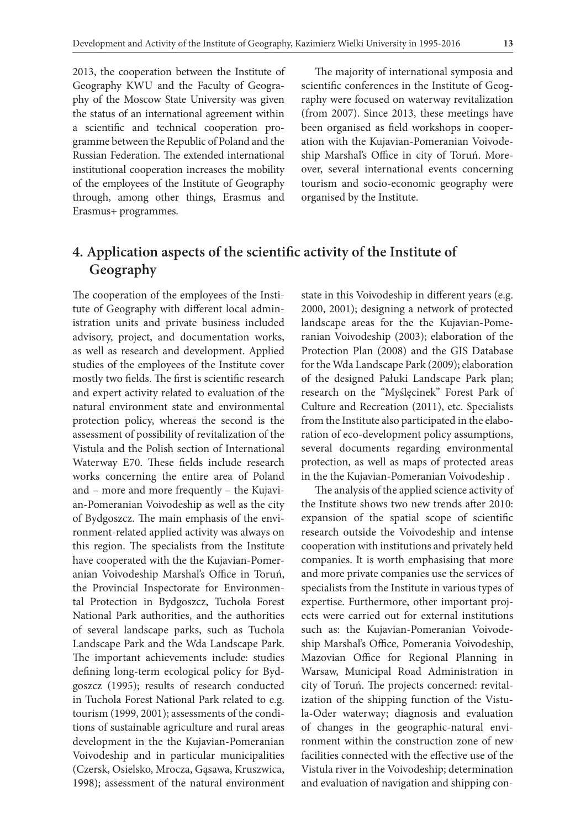2013, the cooperation between the Institute of Geography KWU and the Faculty of Geography of the Moscow State University was given the status of an international agreement within a scientific and technical cooperation programme between the Republic of Poland and the Russian Federation. The extended international institutional cooperation increases the mobility of the employees of the Institute of Geography through, among other things, Erasmus and Erasmus+ programmes.

The majority of international symposia and scientific conferences in the Institute of Geography were focused on waterway revitalization (from 2007). Since 2013, these meetings have been organised as field workshops in cooperation with the Kujavian-Pomeranian Voivodeship Marshal's Office in city of Toruń. Moreover, several international events concerning tourism and socio-economic geography were organised by the Institute.

# **4. Application aspects of the scientific activity of the Institute of Geography**

The cooperation of the employees of the Institute of Geography with different local administration units and private business included advisory, project, and documentation works, as well as research and development. Applied studies of the employees of the Institute cover mostly two fields. The first is scientific research and expert activity related to evaluation of the natural environment state and environmental protection policy, whereas the second is the assessment of possibility of revitalization of the Vistula and the Polish section of International Waterway E70. These fields include research works concerning the entire area of Poland and – more and more frequently – the Kujavian-Pomeranian Voivodeship as well as the city of Bydgoszcz. The main emphasis of the environment-related applied activity was always on this region. The specialists from the Institute have cooperated with the the Kujavian-Pomeranian Voivodeship Marshal's Office in Toruń, the Provincial Inspectorate for Environmental Protection in Bydgoszcz, Tuchola Forest National Park authorities, and the authorities of several landscape parks, such as Tuchola Landscape Park and the Wda Landscape Park. The important achievements include: studies defining long-term ecological policy for Bydgoszcz (1995); results of research conducted in Tuchola Forest National Park related to e.g. tourism (1999, 2001); assessments of the conditions of sustainable agriculture and rural areas development in the the Kujavian-Pomeranian Voivodeship and in particular municipalities (Czersk, Osielsko, Mrocza, Gąsawa, Kruszwica, 1998); assessment of the natural environment

state in this Voivodeship in different years (e.g. 2000, 2001); designing a network of protected landscape areas for the the Kujavian-Pomeranian Voivodeship (2003); elaboration of the Protection Plan (2008) and the GIS Database for the Wda Landscape Park (2009); elaboration of the designed Pałuki Landscape Park plan; research on the "Myślęcinek" Forest Park of Culture and Recreation (2011), etc. Specialists from the Institute also participated in the elaboration of eco-development policy assumptions, several documents regarding environmental protection, as well as maps of protected areas in the the Kujavian-Pomeranian Voivodeship .

The analysis of the applied science activity of the Institute shows two new trends after 2010: expansion of the spatial scope of scientific research outside the Voivodeship and intense cooperation with institutions and privately held companies. It is worth emphasising that more and more private companies use the services of specialists from the Institute in various types of expertise. Furthermore, other important projects were carried out for external institutions such as: the Kujavian-Pomeranian Voivodeship Marshal's Office, Pomerania Voivodeship, Mazovian Office for Regional Planning in Warsaw, Municipal Road Administration in city of Toruń. The projects concerned: revitalization of the shipping function of the Vistula-Oder waterway; diagnosis and evaluation of changes in the geographic-natural environment within the construction zone of new facilities connected with the effective use of the Vistula river in the Voivodeship; determination and evaluation of navigation and shipping con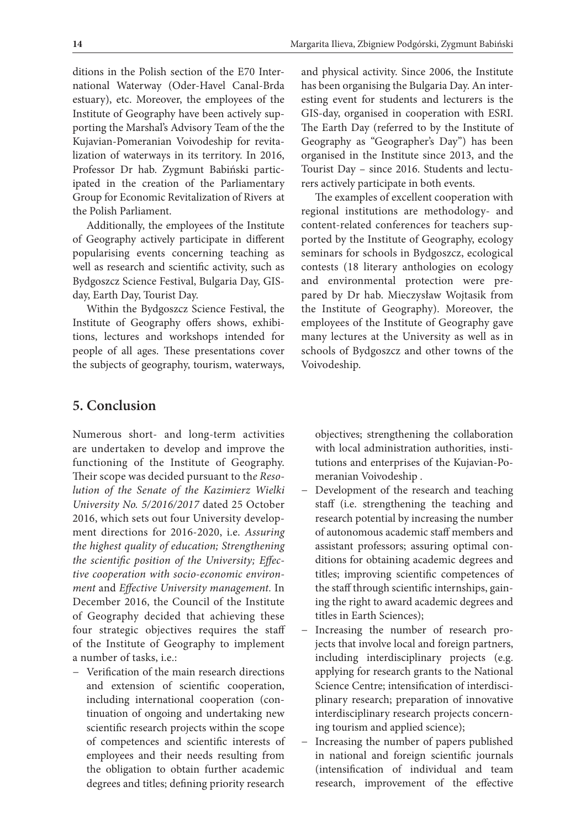ditions in the Polish section of the E70 International Waterway (Oder-Havel Canal-Brda estuary), etc. Moreover, the employees of the Institute of Geography have been actively supporting the Marshal's Advisory Team of the the Kujavian-Pomeranian Voivodeship for revitalization of waterways in its territory. In 2016, Professor Dr hab. Zygmunt Babiński participated in the creation of the Parliamentary Group for Economic Revitalization of Rivers at the Polish Parliament.

Additionally, the employees of the Institute of Geography actively participate in different popularising events concerning teaching as well as research and scientific activity, such as Bydgoszcz Science Festival, Bulgaria Day, GISday, Earth Day, Tourist Day.

Within the Bydgoszcz Science Festival, the Institute of Geography offers shows, exhibitions, lectures and workshops intended for people of all ages. These presentations cover the subjects of geography, tourism, waterways, and physical activity. Since 2006, the Institute has been organising the Bulgaria Day. An interesting event for students and lecturers is the GIS-day, organised in cooperation with ESRI. The Earth Day (referred to by the Institute of Geography as "Geographer's Day") has been organised in the Institute since 2013, and the Tourist Day – since 2016. Students and lecturers actively participate in both events.

The examples of excellent cooperation with regional institutions are methodology- and content-related conferences for teachers supported by the Institute of Geography, ecology seminars for schools in Bydgoszcz, ecological contests (18 literary anthologies on ecology and environmental protection were prepared by Dr hab. Mieczysław Wojtasik from the Institute of Geography). Moreover, the employees of the Institute of Geography gave many lectures at the University as well as in schools of Bydgoszcz and other towns of the Voivodeship.

#### **5. Conclusion**

Numerous short- and long-term activities are undertaken to develop and improve the functioning of the Institute of Geography. Their scope was decided pursuant to th*e Resolution of the Senate of the Kazimierz Wielki University No. 5/2016/2017* dated 25 October 2016, which sets out four University development directions for 2016-2020, i.e. *Assuring the highest quality of education; Strengthening the scientific position of the University; Effective cooperation with socio-economic environment* and *Effective University management.* In December 2016, the Council of the Institute of Geography decided that achieving these four strategic objectives requires the staff of the Institute of Geography to implement a number of tasks, i.e.:

− Verification of the main research directions and extension of scientific cooperation, including international cooperation (continuation of ongoing and undertaking new scientific research projects within the scope of competences and scientific interests of employees and their needs resulting from the obligation to obtain further academic degrees and titles; defining priority research

objectives; strengthening the collaboration with local administration authorities, institutions and enterprises of the Kujavian-Pomeranian Voivodeship .

- − Development of the research and teaching staff (i.e. strengthening the teaching and research potential by increasing the number of autonomous academic staff members and assistant professors; assuring optimal conditions for obtaining academic degrees and titles; improving scientific competences of the staff through scientific internships, gaining the right to award academic degrees and titles in Earth Sciences);
- Increasing the number of research projects that involve local and foreign partners, including interdisciplinary projects (e.g. applying for research grants to the National Science Centre; intensification of interdisciplinary research; preparation of innovative interdisciplinary research projects concerning tourism and applied science);
- Increasing the number of papers published in national and foreign scientific journals (intensification of individual and team research, improvement of the effective